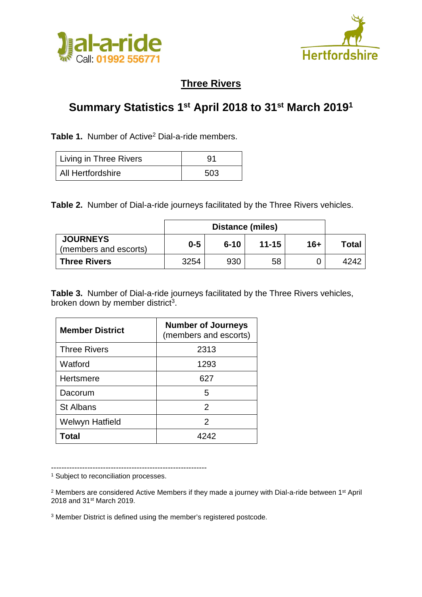



## **Three Rivers**

## **Summary Statistics 1st April 2018 to 31st March 20191**

Table 1. Number of Active<sup>2</sup> Dial-a-ride members.

| Living in Three Rivers | 91  |
|------------------------|-----|
| l All Hertfordshire    | 503 |

**Table 2.** Number of Dial-a-ride journeys facilitated by the Three Rivers vehicles.

|                                          | <b>Distance (miles)</b> |          |           |       |       |
|------------------------------------------|-------------------------|----------|-----------|-------|-------|
| <b>JOURNEYS</b><br>(members and escorts) | $0 - 5$                 | $6 - 10$ | $11 - 15$ | $16+$ | Total |
| <b>Three Rivers</b>                      | 3254                    | 930      | 58        |       | 4242  |

**Table 3.** Number of Dial-a-ride journeys facilitated by the Three Rivers vehicles, broken down by member district<sup>3</sup>.

| <b>Member District</b> | <b>Number of Journeys</b><br>(members and escorts) |
|------------------------|----------------------------------------------------|
| <b>Three Rivers</b>    | 2313                                               |
| Watford                | 1293                                               |
| <b>Hertsmere</b>       | 627                                                |
| Dacorum                | 5                                                  |
| <b>St Albans</b>       | $\mathcal{P}$                                      |
| Welwyn Hatfield        | 2                                                  |
| Total                  | 4242                                               |

------------------------------------------------------------

<sup>1</sup> Subject to reconciliation processes.

<sup>2</sup> Members are considered Active Members if they made a journey with Dial-a-ride between 1<sup>st</sup> April 2018 and 31st March 2019.

<sup>3</sup> Member District is defined using the member's registered postcode.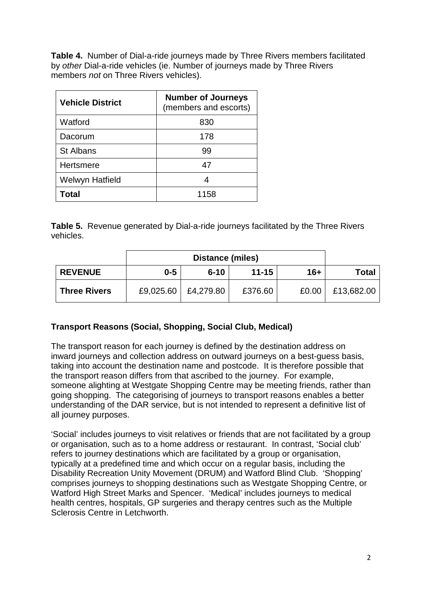**Table 4.** Number of Dial-a-ride journeys made by Three Rivers members facilitated by *other* Dial-a-ride vehicles (ie. Number of journeys made by Three Rivers members *not* on Three Rivers vehicles).

| <b>Vehicle District</b> | <b>Number of Journeys</b><br>(members and escorts) |  |  |
|-------------------------|----------------------------------------------------|--|--|
| Watford                 | 830                                                |  |  |
| Dacorum                 | 178                                                |  |  |
| <b>St Albans</b>        | 99                                                 |  |  |
| <b>Hertsmere</b>        | 47                                                 |  |  |
| Welwyn Hatfield         | 4                                                  |  |  |
| Total                   | 1158                                               |  |  |

**Table 5.** Revenue generated by Dial-a-ride journeys facilitated by the Three Rivers vehicles.

| <b>Distance (miles)</b> |           |           |           |       |              |
|-------------------------|-----------|-----------|-----------|-------|--------------|
| <b>REVENUE</b>          | $0 - 5$   | $6 - 10$  | $11 - 15$ | $16+$ | <b>Total</b> |
| <b>Three Rivers</b>     | £9,025.60 | £4,279.80 | £376.60   | £0.00 | £13,682.00   |

## **Transport Reasons (Social, Shopping, Social Club, Medical)**

The transport reason for each journey is defined by the destination address on inward journeys and collection address on outward journeys on a best-guess basis, taking into account the destination name and postcode. It is therefore possible that the transport reason differs from that ascribed to the journey. For example, someone alighting at Westgate Shopping Centre may be meeting friends, rather than going shopping. The categorising of journeys to transport reasons enables a better understanding of the DAR service, but is not intended to represent a definitive list of all journey purposes.

'Social' includes journeys to visit relatives or friends that are not facilitated by a group or organisation, such as to a home address or restaurant. In contrast, 'Social club' refers to journey destinations which are facilitated by a group or organisation, typically at a predefined time and which occur on a regular basis, including the Disability Recreation Unity Movement (DRUM) and Watford Blind Club. 'Shopping' comprises journeys to shopping destinations such as Westgate Shopping Centre, or Watford High Street Marks and Spencer. 'Medical' includes journeys to medical health centres, hospitals, GP surgeries and therapy centres such as the Multiple Sclerosis Centre in Letchworth.